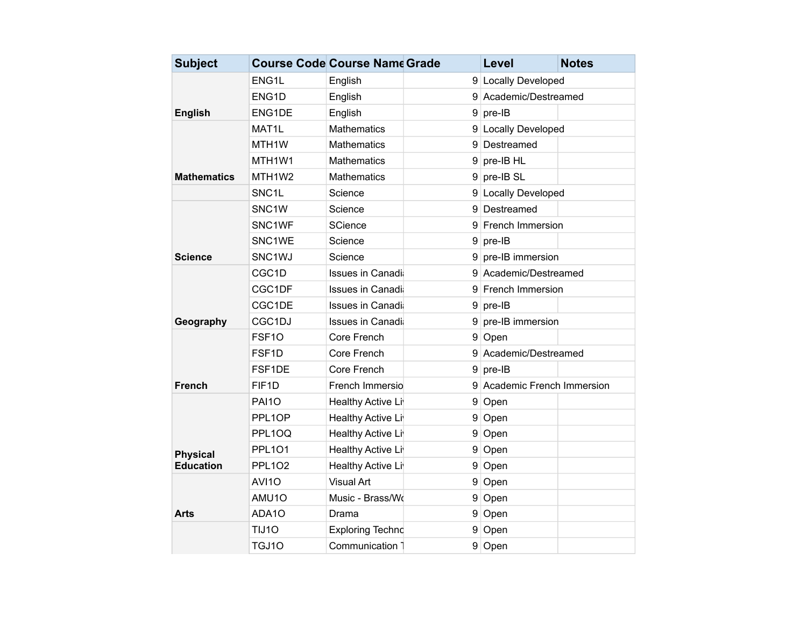| <b>Subject</b>                      |                     | <b>Course Code Course Name Grade</b> |   | Level                       | <b>Notes</b> |
|-------------------------------------|---------------------|--------------------------------------|---|-----------------------------|--------------|
|                                     | ENG1L               | English                              |   | 9 Locally Developed         |              |
|                                     | ENG1D               | English                              |   | 9 Academic/Destreamed       |              |
| <b>English</b>                      | ENG1DE              | English                              | 9 | pre-IB                      |              |
|                                     | MAT <sub>1</sub> L  | <b>Mathematics</b>                   |   | 9 Locally Developed         |              |
|                                     | MTH <sub>1</sub> W  | <b>Mathematics</b>                   |   | 9 Destreamed                |              |
|                                     | MTH1W1              | <b>Mathematics</b>                   |   | $9$ pre-IB HL               |              |
| Mathematics                         | MTH1W2              | Mathematics                          |   | $9$ pre-IB SL               |              |
|                                     | SNC <sub>1</sub> L  | Science                              |   | 9 Locally Developed         |              |
|                                     | SNC <sub>1</sub> W  | Science                              |   | 9 Destreamed                |              |
|                                     | SNC <sub>1</sub> WF | SCience                              |   | 9 French Immersion          |              |
|                                     | SNC1WE              | Science                              |   | $9$ pre-IB                  |              |
| Science                             | SNC <sub>1</sub> WJ | Science                              |   | 9 pre-IB immersion          |              |
|                                     | CGC1D               | <b>Issues in Canadi</b>              |   | 9 Academic/Destreamed       |              |
|                                     | CGC1DF              | <b>Issues in Canadi</b>              |   | 9 French Immersion          |              |
|                                     | CGC1DE              | <b>Issues in Canadi</b>              |   | $9$ pre-IB                  |              |
| Geography                           | CGC1DJ              | <b>Issues in Canadi</b>              |   | 9 pre-IB immersion          |              |
|                                     | FSF <sub>10</sub>   | Core French                          |   | 9 Open                      |              |
|                                     | FSF <sub>1</sub> D  | Core French                          |   | 9 Academic/Destreamed       |              |
|                                     | FSF <sub>1</sub> DE | Core French                          | 9 | pre-IB                      |              |
| <b>French</b>                       | FIF1D               | French Immersio                      |   | 9 Academic French Immersion |              |
| <b>Physical</b><br><b>Education</b> | <b>PAI10</b>        | Healthy Active Li                    |   | 9 Open                      |              |
|                                     | PPL1OP              | Healthy Active Li                    |   | 9 Open                      |              |
|                                     | PPL1OQ              | Healthy Active Li                    | 9 | Open                        |              |
|                                     | <b>PPL101</b>       | Healthy Active Li                    |   | 9 Open                      |              |
|                                     | <b>PPL102</b>       | Healthy Active Li                    |   | 9 Open                      |              |
| Arts                                | AVI10               | <b>Visual Art</b>                    |   | 9 Open                      |              |
|                                     | AMU10               | Music - Brass/Wo                     | 9 | Open                        |              |
|                                     | ADA1O               | Drama                                |   | 9 Open                      |              |
|                                     | TIJ10               | Exploring Technd                     |   | 9 Open                      |              |
|                                     | TGJ10               | Communication 7                      |   | 9 Open                      |              |